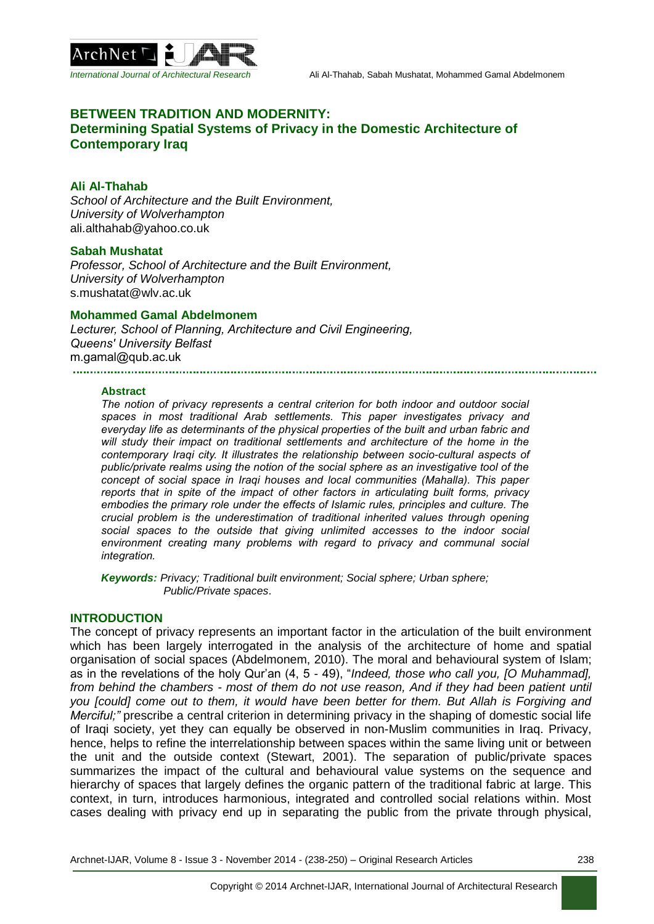

# **BETWEEN TRADITION AND MODERNITY: Determining Spatial Systems of Privacy in the Domestic Architecture of Contemporary Iraq**

### **Ali Al-Thahab**

*School of Architecture and the Built Environment, University of Wolverhampton* ali.althahab@yahoo.co.uk

### **Sabah Mushatat**

*Professor, School of Architecture and the Built Environment, University of Wolverhampton* s.mushatat@wlv.ac.uk

### **Mohammed Gamal Abdelmonem**

*Lecturer, School of Planning, Architecture and Civil Engineering, Queens' University Belfast* m.gamal@qub.ac.uk 

#### **Abstract**

*The notion of privacy represents a central criterion for both indoor and outdoor social spaces in most traditional Arab settlements. This paper investigates privacy and everyday life as determinants of the physical properties of the built and urban fabric and will study their impact on traditional settlements and architecture of the home in the contemporary Iraqi city. It illustrates the relationship between socio-cultural aspects of public/private realms using the notion of the social sphere as an investigative tool of the concept of social space in Iraqi houses and local communities (Mahalla). This paper reports that in spite of the impact of other factors in articulating built forms, privacy embodies the primary role under the effects of Islamic rules, principles and culture. The crucial problem is the underestimation of traditional inherited values through opening social spaces to the outside that giving unlimited accesses to the indoor social environment creating many problems with regard to privacy and communal social integration.* 

*Keywords: Privacy; Traditional built environment; Social sphere; Urban sphere; Public/Private spaces*.

# **INTRODUCTION**

The concept of privacy represents an important factor in the articulation of the built environment which has been largely interrogated in the analysis of the architecture of home and spatial organisation of social spaces (Abdelmonem, 2010). The moral and behavioural system of Islam; as in the revelations of the holy Qur'an (4, 5 - 49), "*Indeed, those who call you, [O Muhammad], from behind the chambers - most of them do not use reason, And if they had been patient until you [could] come out to them, it would have been better for them. But Allah is Forgiving and Merciful;"* prescribe a central criterion in determining privacy in the shaping of domestic social life of Iraqi society, yet they can equally be observed in non-Muslim communities in Iraq. Privacy, hence, helps to refine the interrelationship between spaces within the same living unit or between the unit and the outside context (Stewart, 2001). The separation of public/private spaces summarizes the impact of the cultural and behavioural value systems on the sequence and hierarchy of spaces that largely defines the organic pattern of the traditional fabric at large. This context, in turn, introduces harmonious, integrated and controlled social relations within. Most cases dealing with privacy end up in separating the public from the private through physical,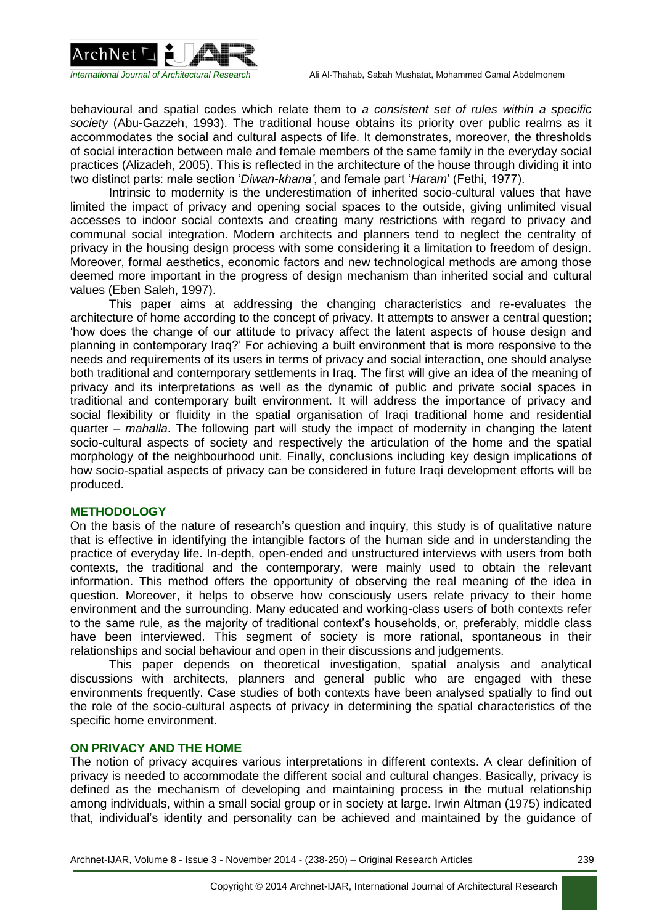

behavioural and spatial codes which relate them to *a consistent set of rules within a specific society* (Abu-Gazzeh, 1993). The traditional house obtains its priority over public realms as it accommodates the social and cultural aspects of life. It demonstrates, moreover, the thresholds of social interaction between male and female members of the same family in the everyday social practices (Alizadeh, 2005). This is reflected in the architecture of the house through dividing it into two distinct parts: male section '*Diwan-khana'*, and female part '*Haram*' (Fethi, 1977).

Intrinsic to modernity is the underestimation of inherited socio-cultural values that have limited the impact of privacy and opening social spaces to the outside, giving unlimited visual accesses to indoor social contexts and creating many restrictions with regard to privacy and communal social integration. Modern architects and planners tend to neglect the centrality of privacy in the housing design process with some considering it a limitation to freedom of design. Moreover, formal aesthetics, economic factors and new technological methods are among those deemed more important in the progress of design mechanism than inherited social and cultural values (Eben Saleh, 1997).

This paper aims at addressing the changing characteristics and re-evaluates the architecture of home according to the concept of privacy. It attempts to answer a central question; 'how does the change of our attitude to privacy affect the latent aspects of house design and planning in contemporary Iraq?' For achieving a built environment that is more responsive to the needs and requirements of its users in terms of privacy and social interaction, one should analyse both traditional and contemporary settlements in Iraq. The first will give an idea of the meaning of privacy and its interpretations as well as the dynamic of public and private social spaces in traditional and contemporary built environment. It will address the importance of privacy and social flexibility or fluidity in the spatial organisation of Iraqi traditional home and residential quarter – *mahalla*. The following part will study the impact of modernity in changing the latent socio-cultural aspects of society and respectively the articulation of the home and the spatial morphology of the neighbourhood unit. Finally, conclusions including key design implications of how socio-spatial aspects of privacy can be considered in future Iraqi development efforts will be produced.

## **METHODOLOGY**

On the basis of the nature of research's question and inquiry, this study is of qualitative nature that is effective in identifying the intangible factors of the human side and in understanding the practice of everyday life. In-depth, open-ended and unstructured interviews with users from both contexts, the traditional and the contemporary, were mainly used to obtain the relevant information. This method offers the opportunity of observing the real meaning of the idea in question. Moreover, it helps to observe how consciously users relate privacy to their home environment and the surrounding. Many educated and working-class users of both contexts refer to the same rule, as the majority of traditional context's households, or, preferably, middle class have been interviewed. This segment of society is more rational, spontaneous in their relationships and social behaviour and open in their discussions and judgements.

This paper depends on theoretical investigation, spatial analysis and analytical discussions with architects, planners and general public who are engaged with these environments frequently. Case studies of both contexts have been analysed spatially to find out the role of the socio-cultural aspects of privacy in determining the spatial characteristics of the specific home environment.

## **ON PRIVACY AND THE HOME**

The notion of privacy acquires various interpretations in different contexts. A clear definition of privacy is needed to accommodate the different social and cultural changes. Basically, privacy is defined as the mechanism of developing and maintaining process in the mutual relationship among individuals, within a small social group or in society at large. Irwin Altman (1975) indicated that, individual's identity and personality can be achieved and maintained by the guidance of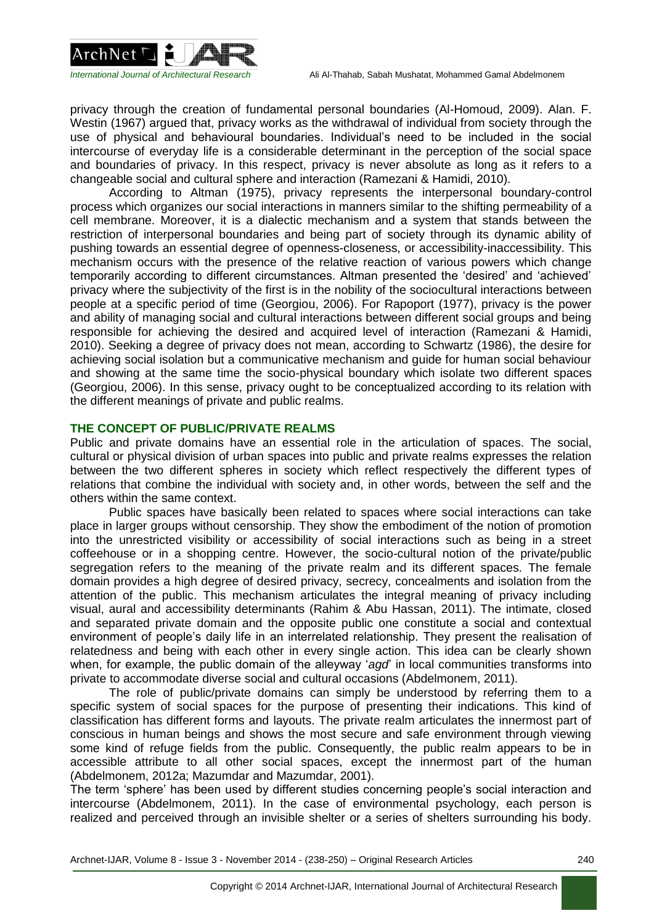

privacy through the creation of fundamental personal boundaries (Al-Homoud, 2009). Alan. F. Westin (1967) argued that, privacy works as the withdrawal of individual from society through the use of physical and behavioural boundaries. Individual's need to be included in the social intercourse of everyday life is a considerable determinant in the perception of the social space and boundaries of privacy. In this respect, privacy is never absolute as long as it refers to a changeable social and cultural sphere and interaction (Ramezani & Hamidi, 2010).

According to Altman (1975), privacy represents the interpersonal boundary-control process which organizes our social interactions in manners similar to the shifting permeability of a cell membrane. Moreover, it is a dialectic mechanism and a system that stands between the restriction of interpersonal boundaries and being part of society through its dynamic ability of pushing towards an essential degree of openness-closeness, or accessibility-inaccessibility. This mechanism occurs with the presence of the relative reaction of various powers which change temporarily according to different circumstances. Altman presented the 'desired' and 'achieved' privacy where the subjectivity of the first is in the nobility of the sociocultural interactions between people at a specific period of time (Georgiou, 2006). For Rapoport (1977), privacy is the power and ability of managing social and cultural interactions between different social groups and being responsible for achieving the desired and acquired level of interaction (Ramezani & Hamidi, 2010). Seeking a degree of privacy does not mean, according to Schwartz (1986), the desire for achieving social isolation but a communicative mechanism and guide for human social behaviour and showing at the same time the socio-physical boundary which isolate two different spaces (Georgiou, 2006). In this sense, privacy ought to be conceptualized according to its relation with the different meanings of private and public realms.

# **THE CONCEPT OF PUBLIC/PRIVATE REALMS**

Public and private domains have an essential role in the articulation of spaces. The social, cultural or physical division of urban spaces into public and private realms expresses the relation between the two different spheres in society which reflect respectively the different types of relations that combine the individual with society and, in other words, between the self and the others within the same context.

Public spaces have basically been related to spaces where social interactions can take place in larger groups without censorship. They show the embodiment of the notion of promotion into the unrestricted visibility or accessibility of social interactions such as being in a street coffeehouse or in a shopping centre. However, the socio-cultural notion of the private/public segregation refers to the meaning of the private realm and its different spaces. The female domain provides a high degree of desired privacy, secrecy, concealments and isolation from the attention of the public. This mechanism articulates the integral meaning of privacy including visual, aural and accessibility determinants (Rahim & Abu Hassan, 2011). The intimate, closed and separated private domain and the opposite public one constitute a social and contextual environment of people's daily life in an interrelated relationship. They present the realisation of relatedness and being with each other in every single action. This idea can be clearly shown when, for example, the public domain of the alleyway '*agd*' in local communities transforms into private to accommodate diverse social and cultural occasions (Abdelmonem, 2011).

The role of public/private domains can simply be understood by referring them to a specific system of social spaces for the purpose of presenting their indications. This kind of classification has different forms and layouts. The private realm articulates the innermost part of conscious in human beings and shows the most secure and safe environment through viewing some kind of refuge fields from the public. Consequently, the public realm appears to be in accessible attribute to all other social spaces, except the innermost part of the human (Abdelmonem, 2012a; Mazumdar and Mazumdar, 2001).

The term 'sphere' has been used by different studies concerning people's social interaction and intercourse (Abdelmonem, 2011). In the case of environmental psychology, each person is realized and perceived through an invisible shelter or a series of shelters surrounding his body.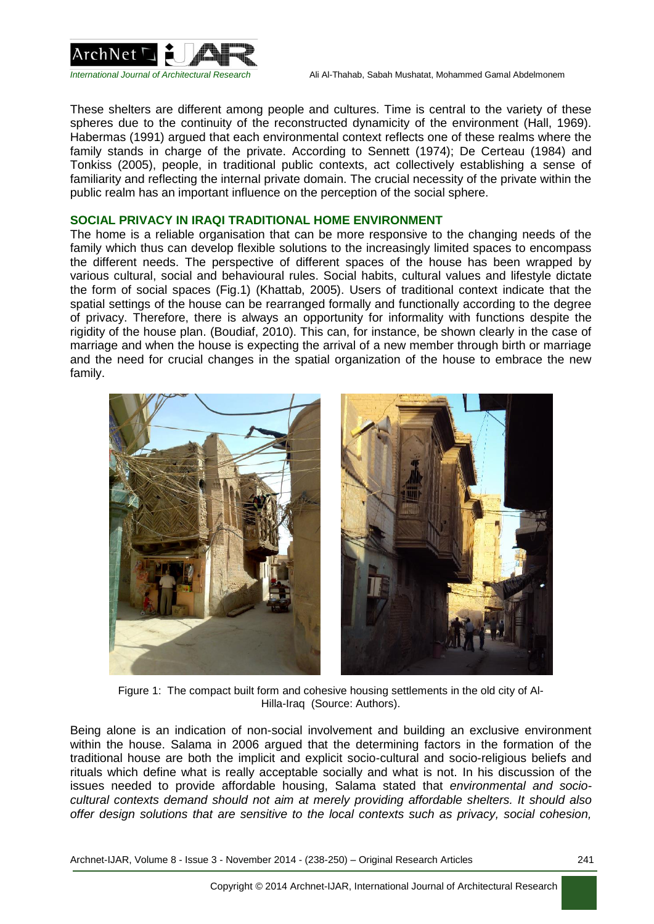

These shelters are different among people and cultures. Time is central to the variety of these spheres due to the continuity of the reconstructed dynamicity of the environment (Hall, 1969). Habermas (1991) argued that each environmental context reflects one of these realms where the family stands in charge of the private. According to Sennett (1974); De Certeau (1984) and Tonkiss (2005), people, in traditional public contexts, act collectively establishing a sense of familiarity and reflecting the internal private domain. The crucial necessity of the private within the public realm has an important influence on the perception of the social sphere.

### **SOCIAL PRIVACY IN IRAQI TRADITIONAL HOME ENVIRONMENT**

The home is a reliable organisation that can be more responsive to the changing needs of the family which thus can develop flexible solutions to the increasingly limited spaces to encompass the different needs. The perspective of different spaces of the house has been wrapped by various cultural, social and behavioural rules. Social habits, cultural values and lifestyle dictate the form of social spaces (Fig.1) (Khattab, 2005). Users of traditional context indicate that the spatial settings of the house can be rearranged formally and functionally according to the degree of privacy. Therefore, there is always an opportunity for informality with functions despite the rigidity of the house plan. (Boudiaf, 2010). This can, for instance, be shown clearly in the case of marriage and when the house is expecting the arrival of a new member through birth or marriage and the need for crucial changes in the spatial organization of the house to embrace the new family.



Figure 1: The compact built form and cohesive housing settlements in the old city of Al-Hilla-Iraq (Source: Authors).

Being alone is an indication of non-social involvement and building an exclusive environment within the house. Salama in 2006 argued that the determining factors in the formation of the traditional house are both the implicit and explicit socio-cultural and socio-religious beliefs and rituals which define what is really acceptable socially and what is not. In his discussion of the issues needed to provide affordable housing, Salama stated that *environmental and sociocultural contexts demand should not aim at merely providing affordable shelters. It should also offer design solutions that are sensitive to the local contexts such as privacy, social cohesion,*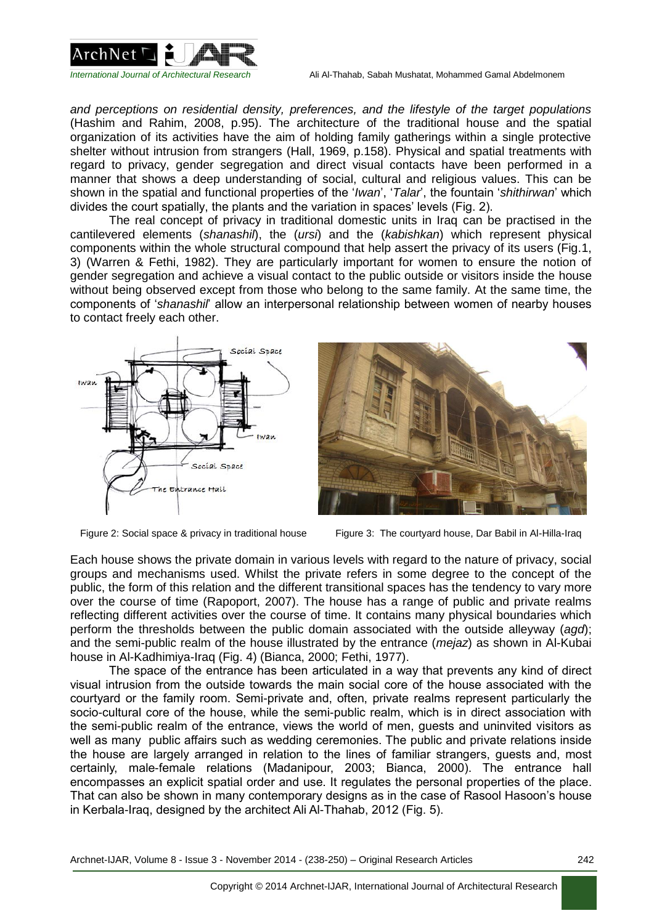

*and perceptions on residential density, preferences, and the lifestyle of the target populations* (Hashim and Rahim, 2008, p.95). The architecture of the traditional house and the spatial organization of its activities have the aim of holding family gatherings within a single protective shelter without intrusion from strangers (Hall, 1969, p.158). Physical and spatial treatments with regard to privacy, gender segregation and direct visual contacts have been performed in a manner that shows a deep understanding of social, cultural and religious values. This can be shown in the spatial and functional properties of the '*Iwan*', '*Talar*', the fountain '*shithirwan*' which divides the court spatially, the plants and the variation in spaces' levels (Fig. 2).

The real concept of privacy in traditional domestic units in Iraq can be practised in the cantilevered elements (*shanashil*), the (*ursi*) and the (*kabishkan*) which represent physical components within the whole structural compound that help assert the privacy of its users (Fig.1, 3) (Warren & Fethi, 1982). They are particularly important for women to ensure the notion of gender segregation and achieve a visual contact to the public outside or visitors inside the house without being observed except from those who belong to the same family. At the same time, the components of '*shanashil*' allow an interpersonal relationship between women of nearby houses to contact freely each other.





Figure 2: Social space & privacy in traditional house Figure 3: The courtyard house, Dar Babil in Al-Hilla-Iraq

Each house shows the private domain in various levels with regard to the nature of privacy, social groups and mechanisms used. Whilst the private refers in some degree to the concept of the public, the form of this relation and the different transitional spaces has the tendency to vary more over the course of time (Rapoport, 2007). The house has a range of public and private realms reflecting different activities over the course of time. It contains many physical boundaries which perform the thresholds between the public domain associated with the outside alleyway (*agd*); and the semi-public realm of the house illustrated by the entrance (*mejaz*) as shown in Al-Kubai house in Al-Kadhimiya-Iraq (Fig. 4) (Bianca, 2000; Fethi, 1977).

The space of the entrance has been articulated in a way that prevents any kind of direct visual intrusion from the outside towards the main social core of the house associated with the courtyard or the family room. Semi-private and, often, private realms represent particularly the socio-cultural core of the house, while the semi-public realm, which is in direct association with the semi-public realm of the entrance, views the world of men, guests and uninvited visitors as well as many public affairs such as wedding ceremonies. The public and private relations inside the house are largely arranged in relation to the lines of familiar strangers, guests and, most certainly, male-female relations (Madanipour, 2003; Bianca, 2000). The entrance hall encompasses an explicit spatial order and use. It regulates the personal properties of the place. That can also be shown in many contemporary designs as in the case of Rasool Hasoon's house in Kerbala-Iraq, designed by the architect Ali Al-Thahab, 2012 (Fig. 5).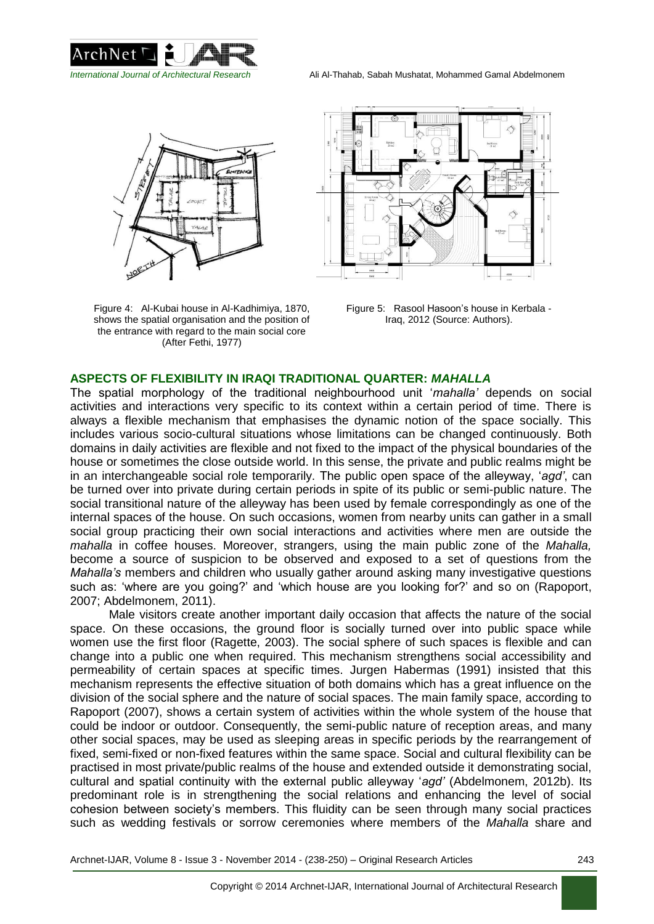



Figure 4: Al-Kubai house in Al-Kadhimiya, 1870, shows the spatial organisation and the position of the entrance with regard to the main social core (After Fethi, 1977)



Figure 5: Rasool Hasoon's house in Kerbala - Iraq, 2012 (Source: Authors).

# **ASPECTS OF FLEXIBILITY IN IRAQI TRADITIONAL QUARTER:** *MAHALLA*

The spatial morphology of the traditional neighbourhood unit '*mahalla'* depends on social activities and interactions very specific to its context within a certain period of time. There is always a flexible mechanism that emphasises the dynamic notion of the space socially. This includes various socio-cultural situations whose limitations can be changed continuously. Both domains in daily activities are flexible and not fixed to the impact of the physical boundaries of the house or sometimes the close outside world. In this sense, the private and public realms might be in an interchangeable social role temporarily. The public open space of the alleyway, '*agd'*, can be turned over into private during certain periods in spite of its public or semi-public nature. The social transitional nature of the alleyway has been used by female correspondingly as one of the internal spaces of the house. On such occasions, women from nearby units can gather in a small social group practicing their own social interactions and activities where men are outside the *mahalla* in coffee houses. Moreover, strangers, using the main public zone of the *Mahalla,*  become a source of suspicion to be observed and exposed to a set of questions from the *Mahalla's* members and children who usually gather around asking many investigative questions such as: 'where are you going?' and 'which house are you looking for?' and so on (Rapoport, 2007; Abdelmonem, 2011).

Male visitors create another important daily occasion that affects the nature of the social space. On these occasions, the ground floor is socially turned over into public space while women use the first floor (Ragette, 2003). The social sphere of such spaces is flexible and can change into a public one when required. This mechanism strengthens social accessibility and permeability of certain spaces at specific times. Jurgen Habermas (1991) insisted that this mechanism represents the effective situation of both domains which has a great influence on the division of the social sphere and the nature of social spaces. The main family space, according to Rapoport (2007), shows a certain system of activities within the whole system of the house that could be indoor or outdoor. Consequently, the semi-public nature of reception areas, and many other social spaces, may be used as sleeping areas in specific periods by the rearrangement of fixed, semi-fixed or non-fixed features within the same space. Social and cultural flexibility can be practised in most private/public realms of the house and extended outside it demonstrating social, cultural and spatial continuity with the external public alleyway '*agd'* (Abdelmonem, 2012b). Its predominant role is in strengthening the social relations and enhancing the level of social cohesion between society's members. This fluidity can be seen through many social practices such as wedding festivals or sorrow ceremonies where members of the *Mahalla* share and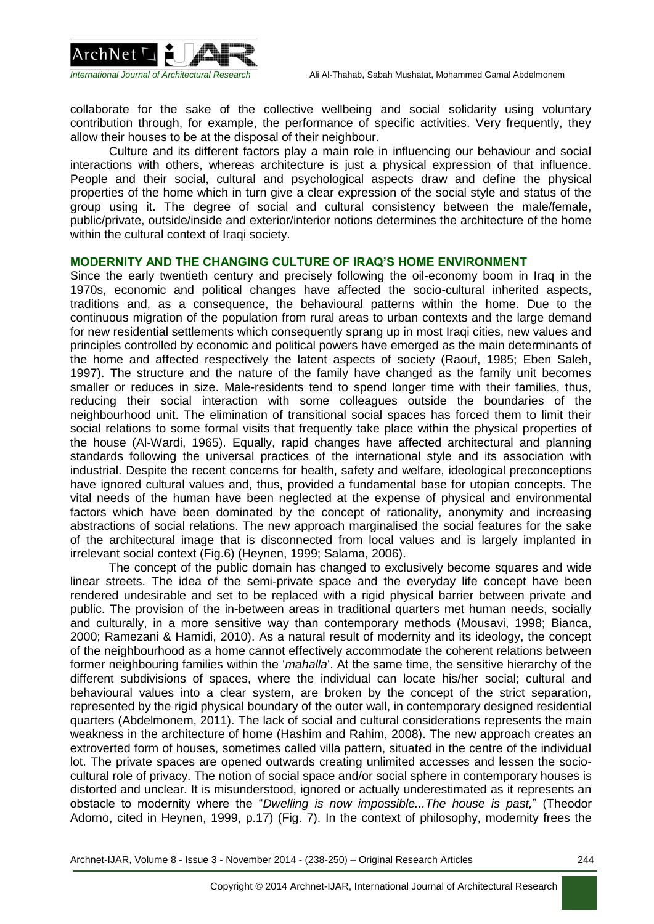



collaborate for the sake of the collective wellbeing and social solidarity using voluntary contribution through, for example, the performance of specific activities. Very frequently, they allow their houses to be at the disposal of their neighbour.

Culture and its different factors play a main role in influencing our behaviour and social interactions with others, whereas architecture is just a physical expression of that influence. People and their social, cultural and psychological aspects draw and define the physical properties of the home which in turn give a clear expression of the social style and status of the group using it. The degree of social and cultural consistency between the male/female, public/private, outside/inside and exterior/interior notions determines the architecture of the home within the cultural context of Iraqi society.

# **MODERNITY AND THE CHANGING CULTURE OF IRAQ'S HOME ENVIRONMENT**

Since the early twentieth century and precisely following the oil-economy boom in Iraq in the 1970s, economic and political changes have affected the socio-cultural inherited aspects, traditions and, as a consequence, the behavioural patterns within the home. Due to the continuous migration of the population from rural areas to urban contexts and the large demand for new residential settlements which consequently sprang up in most Iraqi cities, new values and principles controlled by economic and political powers have emerged as the main determinants of the home and affected respectively the latent aspects of society (Raouf, 1985; Eben Saleh, 1997). The structure and the nature of the family have changed as the family unit becomes smaller or reduces in size. Male-residents tend to spend longer time with their families, thus, reducing their social interaction with some colleagues outside the boundaries of the neighbourhood unit. The elimination of transitional social spaces has forced them to limit their social relations to some formal visits that frequently take place within the physical properties of the house (Al-Wardi, 1965). Equally, rapid changes have affected architectural and planning standards following the universal practices of the international style and its association with industrial. Despite the recent concerns for health, safety and welfare, ideological preconceptions have ignored cultural values and, thus, provided a fundamental base for utopian concepts. The vital needs of the human have been neglected at the expense of physical and environmental factors which have been dominated by the concept of rationality, anonymity and increasing abstractions of social relations. The new approach marginalised the social features for the sake of the architectural image that is disconnected from local values and is largely implanted in irrelevant social context (Fig.6) (Heynen, 1999; Salama, 2006).

The concept of the public domain has changed to exclusively become squares and wide linear streets. The idea of the semi-private space and the everyday life concept have been rendered undesirable and set to be replaced with a rigid physical barrier between private and public. The provision of the in-between areas in traditional quarters met human needs, socially and culturally, in a more sensitive way than contemporary methods (Mousavi, 1998; Bianca, 2000; Ramezani & Hamidi, 2010). As a natural result of modernity and its ideology, the concept of the neighbourhood as a home cannot effectively accommodate the coherent relations between former neighbouring families within the '*mahalla*'. At the same time, the sensitive hierarchy of the different subdivisions of spaces, where the individual can locate his/her social; cultural and behavioural values into a clear system, are broken by the concept of the strict separation, represented by the rigid physical boundary of the outer wall, in contemporary designed residential quarters (Abdelmonem, 2011). The lack of social and cultural considerations represents the main weakness in the architecture of home (Hashim and Rahim, 2008). The new approach creates an extroverted form of houses, sometimes called villa pattern, situated in the centre of the individual lot. The private spaces are opened outwards creating unlimited accesses and lessen the sociocultural role of privacy. The notion of social space and/or social sphere in contemporary houses is distorted and unclear. It is misunderstood, ignored or actually underestimated as it represents an obstacle to modernity where the "*Dwelling is now impossible...The house is past,*" (Theodor Adorno, cited in Heynen, 1999, p.17) (Fig. 7). In the context of philosophy, modernity frees the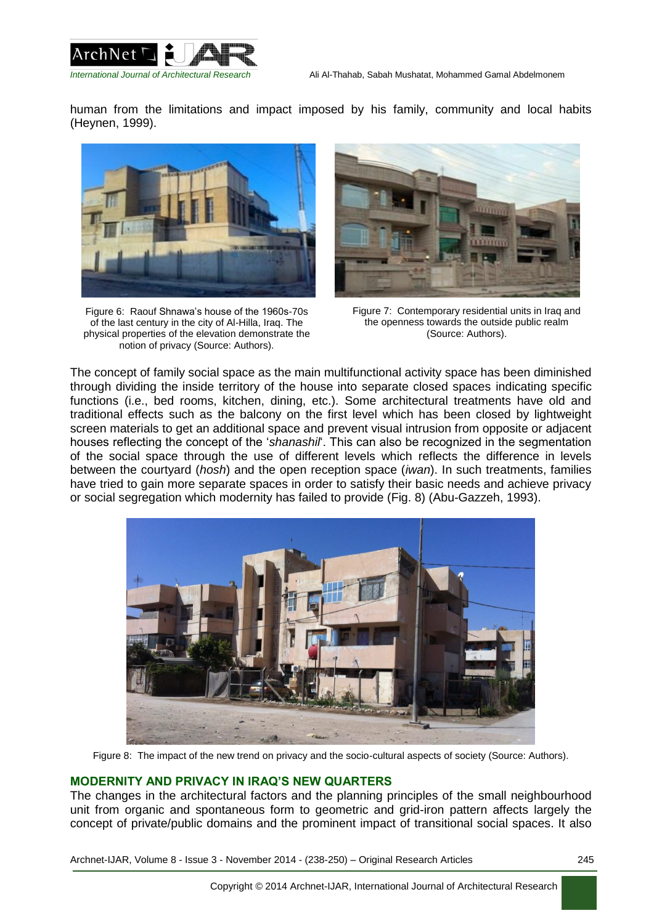



human from the limitations and impact imposed by his family, community and local habits (Heynen, 1999).



Figure 6: Raouf Shnawa's house of the 1960s-70s of the last century in the city of Al-Hilla, Iraq. The physical properties of the elevation demonstrate the notion of privacy (Source: Authors).



Figure 7: Contemporary residential units in Iraq and the openness towards the outside public realm (Source: Authors).

The concept of family social space as the main multifunctional activity space has been diminished through dividing the inside territory of the house into separate closed spaces indicating specific functions (i.e., bed rooms, kitchen, dining, etc.). Some architectural treatments have old and traditional effects such as the balcony on the first level which has been closed by lightweight screen materials to get an additional space and prevent visual intrusion from opposite or adjacent houses reflecting the concept of the '*shanashil*'. This can also be recognized in the segmentation of the social space through the use of different levels which reflects the difference in levels between the courtyard (*hosh*) and the open reception space (*iwan*). In such treatments, families have tried to gain more separate spaces in order to satisfy their basic needs and achieve privacy or social segregation which modernity has failed to provide (Fig. 8) (Abu-Gazzeh, 1993).



Figure 8: The impact of the new trend on privacy and the socio-cultural aspects of society (Source: Authors).

# **MODERNITY AND PRIVACY IN IRAQ'S NEW QUARTERS**

The changes in the architectural factors and the planning principles of the small neighbourhood unit from organic and spontaneous form to geometric and grid-iron pattern affects largely the concept of private/public domains and the prominent impact of transitional social spaces. It also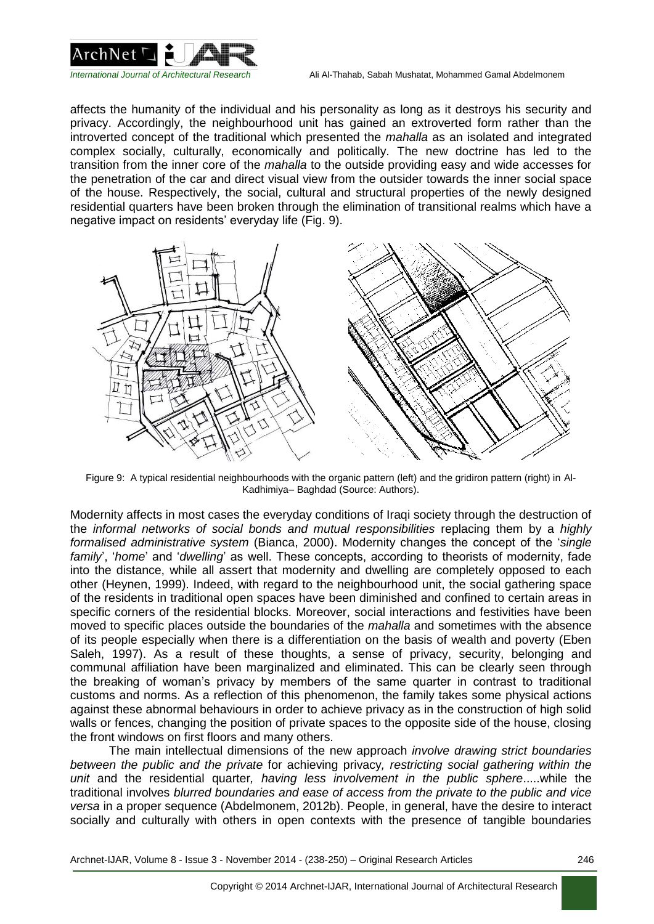

affects the humanity of the individual and his personality as long as it destroys his security and privacy. Accordingly, the neighbourhood unit has gained an extroverted form rather than the introverted concept of the traditional which presented the *mahalla* as an isolated and integrated complex socially, culturally, economically and politically. The new doctrine has led to the transition from the inner core of the *mahalla* to the outside providing easy and wide accesses for the penetration of the car and direct visual view from the outsider towards the inner social space of the house. Respectively, the social, cultural and structural properties of the newly designed residential quarters have been broken through the elimination of transitional realms which have a negative impact on residents' everyday life (Fig. 9).



Figure 9: A typical residential neighbourhoods with the organic pattern (left) and the gridiron pattern (right) in Al-Kadhimiya– Baghdad (Source: Authors).

Modernity affects in most cases the everyday conditions of Iraqi society through the destruction of the *informal networks of social bonds and mutual responsibilities* replacing them by a *highly formalised administrative system* (Bianca, 2000). Modernity changes the concept of the '*single family*', '*home*' and '*dwelling*' as well. These concepts, according to theorists of modernity, fade into the distance, while all assert that modernity and dwelling are completely opposed to each other (Heynen, 1999). Indeed, with regard to the neighbourhood unit, the social gathering space of the residents in traditional open spaces have been diminished and confined to certain areas in specific corners of the residential blocks. Moreover, social interactions and festivities have been moved to specific places outside the boundaries of the *mahalla* and sometimes with the absence of its people especially when there is a differentiation on the basis of wealth and poverty (Eben Saleh, 1997). As a result of these thoughts, a sense of privacy, security, belonging and communal affiliation have been marginalized and eliminated. This can be clearly seen through the breaking of woman's privacy by members of the same quarter in contrast to traditional customs and norms. As a reflection of this phenomenon, the family takes some physical actions against these abnormal behaviours in order to achieve privacy as in the construction of high solid walls or fences, changing the position of private spaces to the opposite side of the house, closing the front windows on first floors and many others.

The main intellectual dimensions of the new approach *involve drawing strict boundaries between the public and the private* for achieving privacy*, restricting social gathering within the unit* and the residential quarter*, having less involvement in the public sphere*.....while the traditional involves *blurred boundaries and ease of access from the private to the public and vice versa* in a proper sequence (Abdelmonem, 2012b). People, in general, have the desire to interact socially and culturally with others in open contexts with the presence of tangible boundaries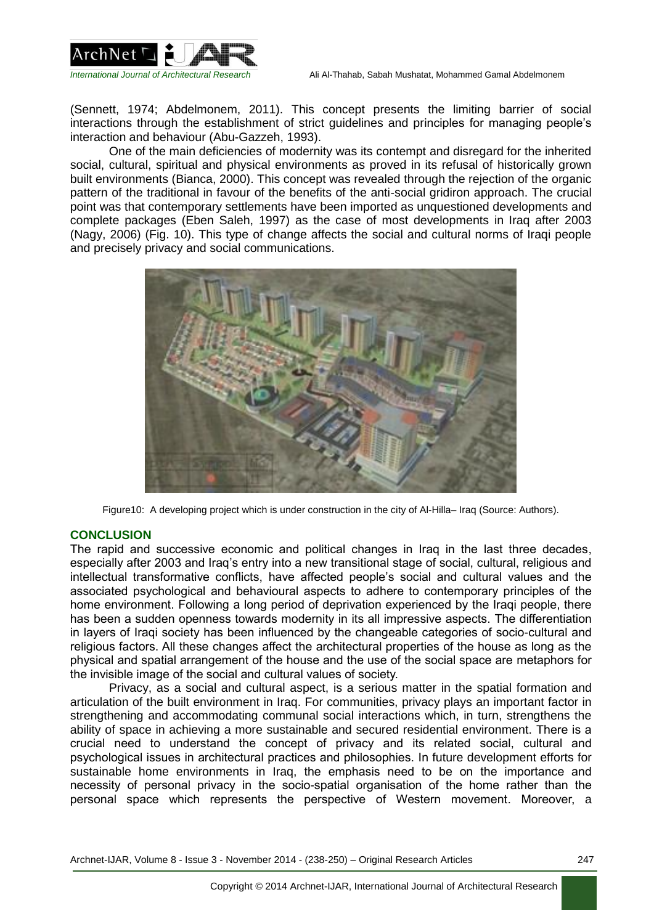

(Sennett, 1974; Abdelmonem, 2011). This concept presents the limiting barrier of social interactions through the establishment of strict guidelines and principles for managing people's interaction and behaviour (Abu-Gazzeh, 1993).

One of the main deficiencies of modernity was its contempt and disregard for the inherited social, cultural, spiritual and physical environments as proved in its refusal of historically grown built environments (Bianca, 2000). This concept was revealed through the rejection of the organic pattern of the traditional in favour of the benefits of the anti-social gridiron approach. The crucial point was that contemporary settlements have been imported as unquestioned developments and complete packages (Eben Saleh, 1997) as the case of most developments in Iraq after 2003 (Nagy, 2006) (Fig. 10). This type of change affects the social and cultural norms of Iraqi people and precisely privacy and social communications.



Figure10: A developing project which is under construction in the city of Al-Hilla– Iraq (Source: Authors).

#### **CONCLUSION**

The rapid and successive economic and political changes in Iraq in the last three decades, especially after 2003 and Iraq's entry into a new transitional stage of social, cultural, religious and intellectual transformative conflicts, have affected people's social and cultural values and the associated psychological and behavioural aspects to adhere to contemporary principles of the home environment. Following a long period of deprivation experienced by the Iraqi people, there has been a sudden openness towards modernity in its all impressive aspects. The differentiation in layers of Iraqi society has been influenced by the changeable categories of socio-cultural and religious factors. All these changes affect the architectural properties of the house as long as the physical and spatial arrangement of the house and the use of the social space are metaphors for the invisible image of the social and cultural values of society.

Privacy, as a social and cultural aspect, is a serious matter in the spatial formation and articulation of the built environment in Iraq. For communities, privacy plays an important factor in strengthening and accommodating communal social interactions which, in turn, strengthens the ability of space in achieving a more sustainable and secured residential environment. There is a crucial need to understand the concept of privacy and its related social, cultural and psychological issues in architectural practices and philosophies. In future development efforts for sustainable home environments in Iraq, the emphasis need to be on the importance and necessity of personal privacy in the socio-spatial organisation of the home rather than the personal space which represents the perspective of Western movement. Moreover, a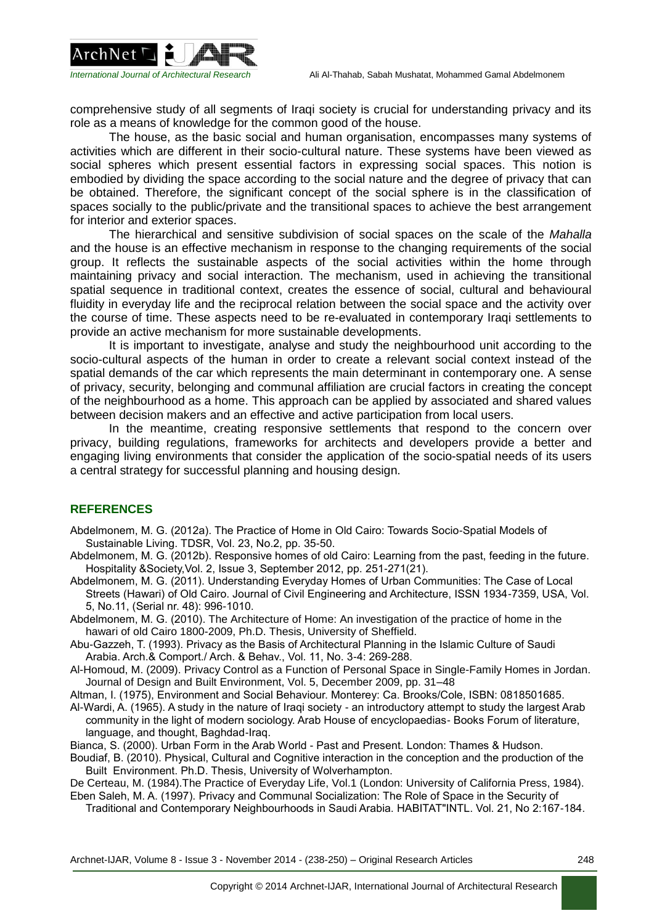

comprehensive study of all segments of Iraqi society is crucial for understanding privacy and its role as a means of knowledge for the common good of the house.

The house, as the basic social and human organisation, encompasses many systems of activities which are different in their socio-cultural nature. These systems have been viewed as social spheres which present essential factors in expressing social spaces. This notion is embodied by dividing the space according to the social nature and the degree of privacy that can be obtained. Therefore, the significant concept of the social sphere is in the classification of spaces socially to the public/private and the transitional spaces to achieve the best arrangement for interior and exterior spaces.

The hierarchical and sensitive subdivision of social spaces on the scale of the *Mahalla* and the house is an effective mechanism in response to the changing requirements of the social group. It reflects the sustainable aspects of the social activities within the home through maintaining privacy and social interaction. The mechanism, used in achieving the transitional spatial sequence in traditional context, creates the essence of social, cultural and behavioural fluidity in everyday life and the reciprocal relation between the social space and the activity over the course of time. These aspects need to be re-evaluated in contemporary Iraqi settlements to provide an active mechanism for more sustainable developments.

It is important to investigate, analyse and study the neighbourhood unit according to the socio-cultural aspects of the human in order to create a relevant social context instead of the spatial demands of the car which represents the main determinant in contemporary one. A sense of privacy, security, belonging and communal affiliation are crucial factors in creating the concept of the neighbourhood as a home. This approach can be applied by associated and shared values between decision makers and an effective and active participation from local users.

In the meantime, creating responsive settlements that respond to the concern over privacy, building regulations, frameworks for architects and developers provide a better and engaging living environments that consider the application of the socio-spatial needs of its users a central strategy for successful planning and housing design.

# **REFERENCES**

Abdelmonem, M. G. (2012a). The Practice of Home in Old Cairo: Towards Socio-Spatial Models of Sustainable Living. TDSR, Vol. 23, No.2, pp. 35-50.

Abdelmonem, M. G. (2012b). Responsive homes of old Cairo: Learning from the past, feeding in the future. Hospitality &Society,Vol. 2, Issue 3, September 2012, pp. 251-271(21).

Abdelmonem, M. G. (2011). Understanding Everyday Homes of Urban Communities: The Case of Local Streets (Hawari) of Old Cairo. Journal of Civil Engineering and Architecture, ISSN 1934-7359, USA, Vol. 5, No.11, (Serial nr. 48): 996-1010.

Abdelmonem, M. G. (2010). The Architecture of Home: An investigation of the practice of home in the hawari of old Cairo 1800-2009, Ph.D. Thesis, University of Sheffield.

Abu-Gazzeh, T. (1993). Privacy as the Basis of Architectural Planning in the Islamic Culture of Saudi Arabia. Arch.& Comport./ Arch. & Behav., Vol. 11, No. 3-4: 269-288.

Al-Homoud, M. (2009). Privacy Control as a Function of Personal Space in Single-Family Homes in Jordan. Journal of Design and Built Environment, Vol. 5, December 2009, pp. 31–48

Altman, I. (1975), Environment and Social Behaviour. Monterey: Ca. Brooks/Cole, ISBN: 0818501685.

Al-Wardi, A. (1965). A study in the nature of Iraqi society - an introductory attempt to study the largest Arab community in the light of modern sociology. Arab House of encyclopaedias- Books Forum of literature, language, and thought, Baghdad-Iraq.

Bianca, S. (2000). Urban Form in the Arab World - Past and Present. London: Thames & Hudson.

Boudiaf, B. (2010). Physical, Cultural and Cognitive interaction in the conception and the production of the Built Environment. Ph.D. Thesis, University of Wolverhampton.

De Certeau, M. (1984).The Practice of Everyday Life, Vol.1 (London: University of California Press, 1984). Eben Saleh, M. A. (1997). Privacy and Communal Socialization: The Role of Space in the Security of

Traditional and Contemporary Neighbourhoods in Saudi Arabia. HABITAT"INTL. Vol. 21, No 2:167-184.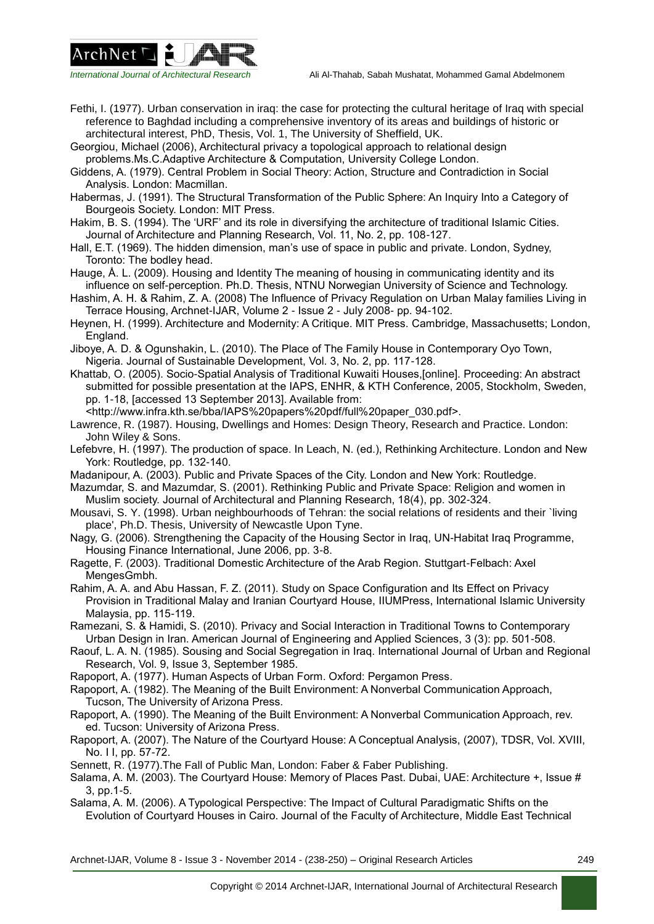



Fethi, I. (1977). Urban conservation in iraq: the case for protecting the cultural heritage of Iraq with special reference to Baghdad including a comprehensive inventory of its areas and buildings of historic or architectural interest, PhD, Thesis, Vol. 1, The University of Sheffield, UK.

Georgiou, Michael (2006), Architectural privacy a topological approach to relational design problems.Ms.C.Adaptive Architecture & Computation, University College London.

Giddens, A. (1979). Central Problem in Social Theory: Action, Structure and Contradiction in Social Analysis. London: Macmillan.

Habermas, J. (1991). The Structural Transformation of the Public Sphere: An Inquiry Into a Category of Bourgeois Society. London: MIT Press.

Hakim, B. S. (1994). The 'URF' and its role in diversifying the architecture of traditional Islamic Cities. Journal of Architecture and Planning Research, Vol. 11, No. 2, pp. 108-127.

Hall, E.T. (1969). The hidden dimension, man's use of space in public and private. London, Sydney, Toronto: The bodley head.

Hauge, Å. L. (2009). Housing and Identity The meaning of housing in communicating identity and its influence on self-perception. Ph.D. Thesis, NTNU Norwegian University of Science and Technology.

- Hashim, A. H. & Rahim, Z. A. (2008) The Influence of Privacy Regulation on Urban Malay families Living in Terrace Housing, Archnet-IJAR, Volume 2 - Issue 2 - July 2008- pp. 94-102.
- Heynen, H. (1999). Architecture and Modernity: A Critique. MIT Press. Cambridge, Massachusetts; London, England.

Jiboye, A. D. & Ogunshakin, L. (2010). The Place of The Family House in Contemporary Oyo Town, Nigeria. Journal of Sustainable Development, Vol. 3, No. 2, pp. 117-128.

Khattab, O. (2005). Socio-Spatial Analysis of Traditional Kuwaiti Houses,[online]. Proceeding: An abstract submitted for possible presentation at the IAPS, ENHR, & KTH Conference, 2005, Stockholm, Sweden, pp. 1-18, [accessed 13 September 2013]. Available from:

<http://www.infra.kth.se/bba/IAPS%20papers%20pdf/full%20paper\_030.pdf>.

Lawrence, R. (1987). Housing, Dwellings and Homes: Design Theory, Research and Practice. London: John Wiley & Sons.

Lefebvre, H. (1997). The production of space. In Leach, N. (ed.), Rethinking Architecture. London and New York: Routledge, pp. 132-140.

Madanipour, A. (2003). Public and Private Spaces of the City. London and New York: Routledge.

Mazumdar, S. and Mazumdar, S. (2001). Rethinking Public and Private Space: Religion and women in Muslim society. Journal of Architectural and Planning Research, 18(4), pp. 302-324.

Mousavi, S. Y. (1998). Urban neighbourhoods of Tehran: the social relations of residents and their `living place', Ph.D. Thesis, University of Newcastle Upon Tyne.

Nagy, G. (2006). Strengthening the Capacity of the Housing Sector in Irag, UN-Habitat Irag Programme, Housing Finance International, June 2006, pp. 3-8.

Ragette, F. (2003). Traditional Domestic Architecture of the Arab Region. Stuttgart-Felbach: Axel MengesGmbh.

Rahim, A. A. and Abu Hassan, F. Z. (2011). Study on Space Configuration and Its Effect on Privacy Provision in Traditional Malay and Iranian Courtyard House, IIUMPress, International Islamic University Malaysia, pp. 115-119.

Ramezani, S. & Hamidi, S. (2010). Privacy and Social Interaction in Traditional Towns to Contemporary Urban Design in Iran. American Journal of Engineering and Applied Sciences, 3 (3): pp. 501-508.

Raouf, L. A. N. (1985). Sousing and Social Segregation in Iraq. International Journal of Urban and Regional Research, Vol. 9, Issue 3, September 1985.

Rapoport, A. (1977). Human Aspects of Urban Form. Oxford: Pergamon Press.

Rapoport, A. (1982). The Meaning of the Built Environment: A Nonverbal Communication Approach, Tucson, The University of Arizona Press.

Rapoport, A. (1990). The Meaning of the Built Environment: A Nonverbal Communication Approach, rev. ed. Tucson: University of Arizona Press.

Rapoport, A. (2007). The Nature of the Courtyard House: A Conceptual Analysis, (2007), TDSR, Vol. XVIII, No. I I, pp. 57-72.

Sennett, R. (1977).The Fall of Public Man, London: Faber & Faber Publishing.

Salama, A. M. (2003). The Courtyard House: Memory of Places Past. Dubai, UAE: Architecture +, Issue # 3, pp.1-5.

Salama, A. M. (2006). A Typological Perspective: The Impact of Cultural Paradigmatic Shifts on the Evolution of Courtyard Houses in Cairo. Journal of the Faculty of Architecture, Middle East Technical